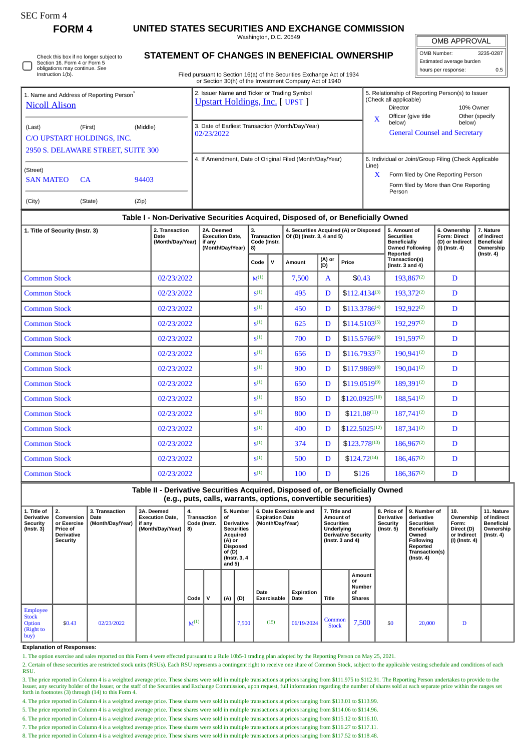**FORM 4 UNITED STATES SECURITIES AND EXCHANGE COMMISSION**

Washington, D.C. 20549

| OMB APPROVAL |
|--------------|
|              |

| OMB Number:              | 3235-0287 |
|--------------------------|-----------|
| Estimated average burden |           |
| hours per response:      | 0.5       |

Check this box if no longer subject to Section 16. Form 4 or Form 5 obligations may continue. *See* Instruction 1(b)

 $Common Stock$  02/23/2022  $\vert$  s<sup>(1)</sup>

Common Stock 02/23/2022 S

 $Common Stock$  02/23/2022  $\vert$  s<sup>(1)</sup>

 $Common Stock$  02/23/2022  $\left| \begin{array}{c} 0 \end{array} \right|$   $S^{(1)}$ 

 $Common Stock$  02/23/2022  $\left| \begin{array}{c} 0.2022 \\ 0.20221 \end{array} \right|$  s<sup>(1)</sup>

**Common Stock**  $\begin{array}{|c|c|c|c|c|} \hline 02/23/2022 & \text{ } & \text{ } & \text{ } \text{s}^{(1)} \\\hline \end{array}$ 

 $Common Stock$  02/23/2022  $\vert$  s<sup>(1)</sup>

 $Common Stock$  02/23/2022  $\vert$  s<sup>(1)</sup>

 $Common Stock$  02/23/2022  $\vert$  s<sup>(1)</sup>

## **STATEMENT OF CHANGES IN BENEFICIAL OWNERSHIP**

Filed pursuant to Section 16(a) of the Securities Exchange Act of 1934 or Section 30(h) of the Investment Company Act of 1940

| 1. Name and Address of Reporting Person <sup>®</sup><br><b>Nicoll Alison</b>     | 2. Issuer Name and Ticker or Trading Symbol<br><b>Upstart Holdings, Inc. [ UPST ]</b> |                                                          |                  |                                                                    |                                                | 5. Relationship of Reporting Person(s) to Issuer<br>(Check all applicable)<br>10% Owner<br>Director |                                                                                                                                                |               |                                        |                                                                                    |                                                                          |                                                                                |
|----------------------------------------------------------------------------------|---------------------------------------------------------------------------------------|----------------------------------------------------------|------------------|--------------------------------------------------------------------|------------------------------------------------|-----------------------------------------------------------------------------------------------------|------------------------------------------------------------------------------------------------------------------------------------------------|---------------|----------------------------------------|------------------------------------------------------------------------------------|--------------------------------------------------------------------------|--------------------------------------------------------------------------------|
| (Last)<br>C/O UPSTART HOLDINGS, INC.<br>2950 S. DELAWARE STREET, SUITE 300       | 3. Date of Earliest Transaction (Month/Day/Year)<br>02/23/2022                        |                                                          |                  |                                                                    | $\overline{\mathbf{X}}$                        | Officer (give title<br>below)<br><b>General Counsel and Secretary</b>                               | Other (specify<br>below)                                                                                                                       |               |                                        |                                                                                    |                                                                          |                                                                                |
| (Street)<br><b>SAN MATEO</b><br>(City)                                           | 94403                                                                                 | 4. If Amendment, Date of Original Filed (Month/Day/Year) |                  |                                                                    |                                                | Line)<br>X                                                                                          | 6. Individual or Joint/Group Filing (Check Applicable<br>Form filed by One Reporting Person<br>Form filed by More than One Reporting<br>Person |               |                                        |                                                                                    |                                                                          |                                                                                |
| Table I - Non-Derivative Securities Acquired, Disposed of, or Beneficially Owned |                                                                                       |                                                          |                  |                                                                    |                                                |                                                                                                     |                                                                                                                                                |               |                                        |                                                                                    |                                                                          |                                                                                |
| 2. Transaction<br>1. Title of Security (Instr. 3)<br>Date                        |                                                                                       |                                                          | (Month/Day/Year) | 2A. Deemed<br><b>Execution Date,</b><br>if any<br>(Month/Day/Year) | 3.<br><b>Transaction</b><br>Code (Instr.<br>8) |                                                                                                     | Of (D) (Instr. 3, 4 and 5)                                                                                                                     |               | 4. Securities Acquired (A) or Disposed | 5. Amount of<br><b>Securities</b><br><b>Beneficially</b><br><b>Owned Following</b> | 6. Ownership<br><b>Form: Direct</b><br>(D) or Indirect<br>(I) (Instr. 4) | 7. Nature<br>of Indirect<br><b>Beneficial</b><br>Ownership<br>$($ Instr. 4 $)$ |
|                                                                                  |                                                                                       |                                                          |                  |                                                                    | Code                                           | $\mathsf{v}$                                                                                        | Amount                                                                                                                                         | (A) or<br>(D) | Price                                  | Reported<br>Transaction(s)<br>(Instr. $3$ and $4$ )                                |                                                                          |                                                                                |
| <b>Common Stock</b>                                                              |                                                                                       |                                                          | 02/23/2022       |                                                                    | $M^{(1)}$                                      |                                                                                                     | 7,500                                                                                                                                          | $\mathbf{A}$  | \$0.43                                 | $193.867^{(2)}$                                                                    | D                                                                        |                                                                                |
| <b>Common Stock</b>                                                              |                                                                                       |                                                          | 02/23/2022       |                                                                    | S <sup>(1)</sup>                               |                                                                                                     | 495                                                                                                                                            | D             | $$112.4134^{(3)}$                      | 193,372(2)                                                                         | D                                                                        |                                                                                |
| <b>Common Stock</b>                                                              |                                                                                       |                                                          | 02/23/2022       |                                                                    | S <sup>(1)</sup>                               |                                                                                                     | 450                                                                                                                                            | D             | $$113.3786^{(4)}$                      | 192,922(2)                                                                         | D                                                                        |                                                                                |
| <b>Common Stock</b>                                                              |                                                                                       |                                                          | 02/23/2022       |                                                                    | S <sup>(1)</sup>                               |                                                                                                     | 625                                                                                                                                            | D             | $$114.5103^{(5)}$                      | 192,297(2)                                                                         | D                                                                        |                                                                                |
| <b>Common Stock</b>                                                              |                                                                                       |                                                          | 02/23/2022       |                                                                    | S <sup>(1)</sup>                               |                                                                                                     | 700                                                                                                                                            | D             | $$115.5766^{(6)}$                      | 191,597(2)                                                                         | D                                                                        |                                                                                |

656 D \$116.7933<sup>(7)</sup> 190,941<sup>(2)</sup> D

900 D  $\left| \frac{100}{\text{S}117.9869^{(8)}} \right|$  190,041<sup>(2)</sup> D

650 D  $\vert$  \$119.0519<sup>(9)</sup> 189,391<sup>(2)</sup> D

850 | D  $|3120.0925^{(10)}|$  188,541<sup>(2)</sup> D

800 D \$121.08<sup>(11)</sup> 187,741<sup>(2)</sup> D

400 D \$122.5025<sup>(12)</sup> 187,341<sup>(2)</sup> D

 $374$  D  $\frac{1}{323.778^{(13)}}$   $186.967^{(2)}$  D

 $\begin{array}{|c|c|c|c|c|c|c|c|c|} \hline \text{500} & \text{D} & \text{$$124.72^{(14)}$} & \text{186,467^{(2)}} & \text{D} \end{array}$ 

 $100$  D \$126 186,367<sup>(2)</sup> D

**Table II - Derivative Securities Acquired, Disposed of, or Beneficially Owned (e.g., puts, calls, warrants, options, convertible securities)**

| 1. Title of<br><b>Derivative</b><br>Security<br>$($ lnstr. 3 $)$ | 2.<br>Conversion<br>or Exercise<br><b>Price of</b><br><b>Derivative</b><br>Security | 3. Transaction<br>Date<br>(Month/Day/Year) | 3A. Deemed<br><b>Execution Date,</b><br>if any<br>(Month/Day/Year)   8) | 4.<br>Transaction<br>Code (Instr. | of<br>(A) or<br>of $(D)$<br>and 5) | 5. Number<br>Derivative<br><b>Securities</b><br>Acquired<br>Disposed<br>(Instr. 3, 4) | 6. Date Exercisable and<br><b>Expiration Date</b><br>(Month/Day/Year) |                    | 7. Title and<br>Amount of<br><b>Securities</b><br>Underlying<br><b>Derivative Security</b><br>( $lnstr. 3 and 4$ ) |                                               | 8. Price of<br><b>Derivative</b><br><b>Security</b><br>(Instr. 5) | 9. Number of<br>derivative<br><b>Securities</b><br>Beneficially<br>Owned<br><b>Following</b><br>Reported<br>Transaction(s)<br>$($ lnstr. 4 $)$ | 10.<br>Ownership<br>Form:<br>Direct (D)<br>or Indirect<br>(I) (Instr. 4) | 11. Nature<br>of Indirect<br><b>Beneficial</b><br>Ownership<br>(Instr. 4) |
|------------------------------------------------------------------|-------------------------------------------------------------------------------------|--------------------------------------------|-------------------------------------------------------------------------|-----------------------------------|------------------------------------|---------------------------------------------------------------------------------------|-----------------------------------------------------------------------|--------------------|--------------------------------------------------------------------------------------------------------------------|-----------------------------------------------|-------------------------------------------------------------------|------------------------------------------------------------------------------------------------------------------------------------------------|--------------------------------------------------------------------------|---------------------------------------------------------------------------|
|                                                                  |                                                                                     |                                            |                                                                         | Code                              | (A)                                | (D)                                                                                   | Date<br><b>Exercisable</b>                                            | Expiration<br>Date | Title                                                                                                              | Amount<br>or<br>Number<br>οf<br><b>Shares</b> |                                                                   |                                                                                                                                                |                                                                          |                                                                           |
| <b>Employee</b><br><b>Stock</b><br>Option<br>(Right to<br>buy    | \$0.43                                                                              | 02/23/2022                                 |                                                                         | $M^{(1)}$                         |                                    | 7,500                                                                                 | (15)                                                                  | 06/19/2024         | Common<br><b>Stock</b>                                                                                             | 7,500                                         | \$0                                                               | 20,000                                                                                                                                         | D                                                                        |                                                                           |

**Explanation of Responses:**

1. The option exercise and sales reported on this Form 4 were effected pursuant to a Rule 10b5-1 trading plan adopted by the Reporting Person on May 25, 2021.

2. Certain of these securities are restricted stock units (RSUs). Each RSU represents a contingent right to receive one share of Common Stock, subject to the applicable vesting schedule and conditions of each **RSU** 

3. The price reported in Column 4 is a weighted average price. These shares were sold in multiple transactions at prices ranging from \$111.975 to \$112.91. The Reporting Person undertakes to provide to the Issuer, any security holder of the Issuer, or the staff of the Securities and Exchange Commission, upon request, full information regarding the number of shares sold at each separate price within the ranges set forth in footnotes (3) through (14) to this Form 4.

4. The price reported in Column 4 is a weighted average price. These shares were sold in multiple transactions at prices ranging from \$113.01 to \$113.99.

5. The price reported in Column 4 is a weighted average price. These shares were sold in multiple transactions at prices ranging from \$114.06 to \$114.96.

6. The price reported in Column 4 is a weighted average price. These shares were sold in multiple transactions at prices ranging from \$115.12 to \$116.10.

7. The price reported in Column 4 is a weighted average price. These shares were sold in multiple transactions at prices ranging from \$116.27 to \$117.11.

8. The price reported in Column 4 is a weighted average price. These shares were sold in multiple transactions at prices ranging from \$117.52 to \$118.48.